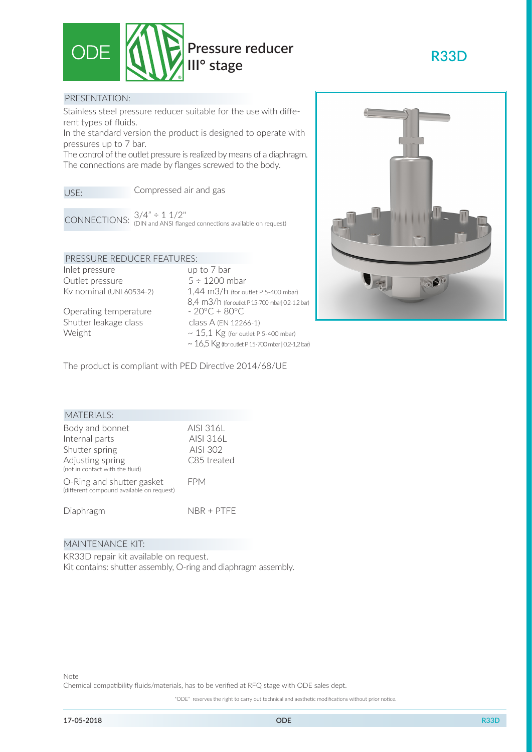

## PRESENTATION:

Stainless steel pressure reducer suitable for the use with different types of fluids.

In the standard version the product is designed to operate with pressures up to 7 bar.

The control of the outlet pressure is realized by means of a diaphragm. The connections are made by flanges screwed to the body.

Compressed air and gas USE:

CONNECTIONS:  $3/4" \div 1 \frac{1}{2}$ <br>CONNECTIONS: (DIN and ANSI flanged connections available on request)

## PRESSURE REDUCER FEATURES:

Inlet pressure up to 7 bar Outlet pressure  $5 \div 1200$  mbar

Operating temperature Shutter leakage class class A (EN 12266-1)

Kv nominal (UNI 60534-2) 1,44 m3/h (for outlet P 5-400 mbar) 8,4 m3/h (for outlet P 15-700 mbar| 0,2-1,2 bar)<br>-  $20^{\circ}C + 80^{\circ}C$ Weight  $\sim 15.1$  Kg (for outlet P 5-400 mbar)  $\sim 16,5$  Kg (for outlet P 15-700 mbar | 0,2-1,2 bar)



**R33D**

The product is compliant with PED Directive 2014/68/UE

| <b>MATERIALS:</b>                                                                                          |                                                   |
|------------------------------------------------------------------------------------------------------------|---------------------------------------------------|
| Body and bonnet<br>Internal parts<br>Shutter spring<br>Adjusting spring<br>(not in contact with the fluid) | AISI 316L<br>AISI 316L<br>AISI 302<br>C85 treated |
| O-Ring and shutter gasket<br>(different compound available on request)                                     | FPM                                               |
| Diaphragm                                                                                                  | $NBR + PTFF$                                      |

#### MAINTENANCE KIT:

KR33D repair kit available on request. Kit contains: shutter assembly, O-ring and diaphragm assembly.

"ODE" reserves the right to carry out technical and aesthetic modifications without prior notice.